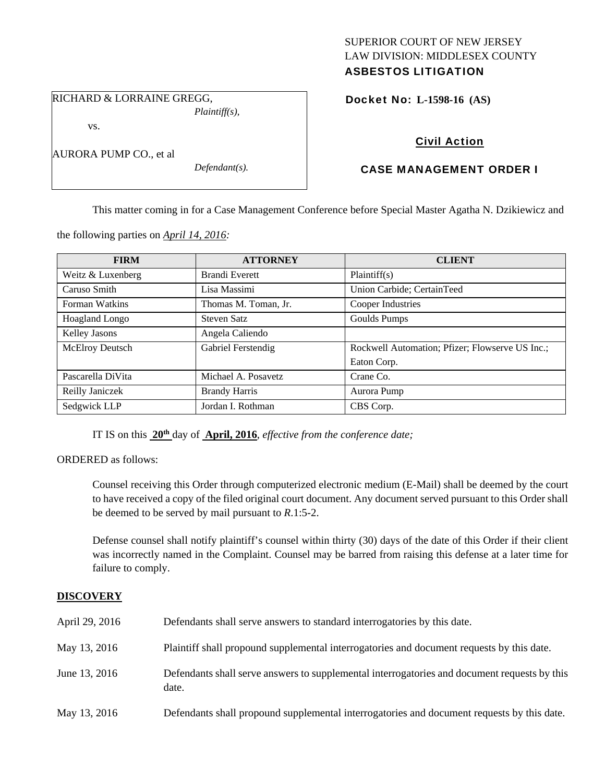## SUPERIOR COURT OF NEW JERSEY LAW DIVISION: MIDDLESEX COUNTY ASBESTOS LITIGATION

RICHARD & LORRAINE GREGG, *Plaintiff(s),* 

vs.

AURORA PUMP CO., et al

*Defendant(s).* 

Docket No: **L-1598-16 (AS)** 

# Civil Action

# CASE MANAGEMENT ORDER I

This matter coming in for a Case Management Conference before Special Master Agatha N. Dzikiewicz and

the following parties on *April 14, 2016:* 

| <b>FIRM</b>            | <b>ATTORNEY</b>       | <b>CLIENT</b>                                   |
|------------------------|-----------------------|-------------------------------------------------|
| Weitz & Luxenberg      | <b>Brandi Everett</b> | Plaintiff(s)                                    |
| Caruso Smith           | Lisa Massimi          | Union Carbide; CertainTeed                      |
| Forman Watkins         | Thomas M. Toman, Jr.  | Cooper Industries                               |
| Hoagland Longo         | Steven Satz           | Goulds Pumps                                    |
| Kelley Jasons          | Angela Caliendo       |                                                 |
| <b>McElroy Deutsch</b> | Gabriel Ferstendig    | Rockwell Automation; Pfizer; Flowserve US Inc.; |
|                        |                       | Eaton Corp.                                     |
| Pascarella DiVita      | Michael A. Posavetz   | Crane Co.                                       |
| Reilly Janiczek        | <b>Brandy Harris</b>  | Aurora Pump                                     |
| Sedgwick LLP           | Jordan I. Rothman     | CBS Corp.                                       |

IT IS on this **20th** day of **April, 2016**, *effective from the conference date;*

ORDERED as follows:

Counsel receiving this Order through computerized electronic medium (E-Mail) shall be deemed by the court to have received a copy of the filed original court document. Any document served pursuant to this Order shall be deemed to be served by mail pursuant to *R*.1:5-2.

Defense counsel shall notify plaintiff's counsel within thirty (30) days of the date of this Order if their client was incorrectly named in the Complaint. Counsel may be barred from raising this defense at a later time for failure to comply.

## **DISCOVERY**

| April 29, 2016 | Defendants shall serve answers to standard interrogatories by this date.                              |
|----------------|-------------------------------------------------------------------------------------------------------|
| May 13, 2016   | Plaintiff shall propound supplemental interrogatories and document requests by this date.             |
| June 13, 2016  | Defendants shall serve answers to supplemental interrogatories and document requests by this<br>date. |
| May 13, 2016   | Defendants shall propound supplemental interrogatories and document requests by this date.            |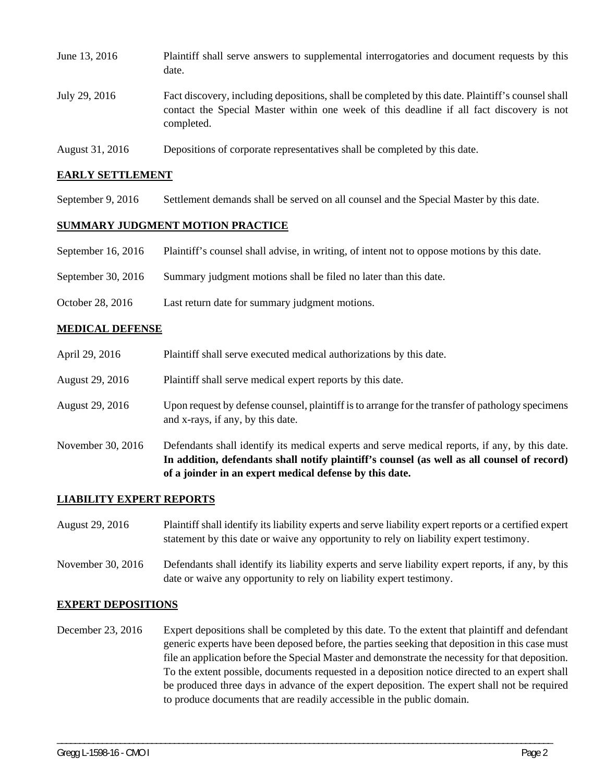| June 13, 2016   | Plaintiff shall serve answers to supplemental interrogatories and document requests by this<br>date.                                                                                                        |
|-----------------|-------------------------------------------------------------------------------------------------------------------------------------------------------------------------------------------------------------|
| July 29, 2016   | Fact discovery, including depositions, shall be completed by this date. Plaintiff's counsel shall<br>contact the Special Master within one week of this deadline if all fact discovery is not<br>completed. |
| August 31, 2016 | Depositions of corporate representatives shall be completed by this date.                                                                                                                                   |

### **EARLY SETTLEMENT**

September 9, 2016 Settlement demands shall be served on all counsel and the Special Master by this date.

### **SUMMARY JUDGMENT MOTION PRACTICE**

- September 16, 2016 Plaintiff's counsel shall advise, in writing, of intent not to oppose motions by this date.
- September 30, 2016 Summary judgment motions shall be filed no later than this date.
- October 28, 2016 Last return date for summary judgment motions.

#### **MEDICAL DEFENSE**

- April 29, 2016 Plaintiff shall serve executed medical authorizations by this date.
- August 29, 2016 Plaintiff shall serve medical expert reports by this date.
- August 29, 2016 Upon request by defense counsel, plaintiff is to arrange for the transfer of pathology specimens and x-rays, if any, by this date.
- November 30, 2016 Defendants shall identify its medical experts and serve medical reports, if any, by this date. **In addition, defendants shall notify plaintiff's counsel (as well as all counsel of record) of a joinder in an expert medical defense by this date.**

#### **LIABILITY EXPERT REPORTS**

- August 29, 2016 Plaintiff shall identify its liability experts and serve liability expert reports or a certified expert statement by this date or waive any opportunity to rely on liability expert testimony.
- November 30, 2016 Defendants shall identify its liability experts and serve liability expert reports, if any, by this date or waive any opportunity to rely on liability expert testimony.

#### **EXPERT DEPOSITIONS**

December 23, 2016 Expert depositions shall be completed by this date. To the extent that plaintiff and defendant generic experts have been deposed before, the parties seeking that deposition in this case must file an application before the Special Master and demonstrate the necessity for that deposition. To the extent possible, documents requested in a deposition notice directed to an expert shall be produced three days in advance of the expert deposition. The expert shall not be required to produce documents that are readily accessible in the public domain.

\_\_\_\_\_\_\_\_\_\_\_\_\_\_\_\_\_\_\_\_\_\_\_\_\_\_\_\_\_\_\_\_\_\_\_\_\_\_\_\_\_\_\_\_\_\_\_\_\_\_\_\_\_\_\_\_\_\_\_\_\_\_\_\_\_\_\_\_\_\_\_\_\_\_\_\_\_\_\_\_\_\_\_\_\_\_\_\_\_\_\_\_\_\_\_\_\_\_\_\_\_\_\_\_\_\_\_\_\_\_